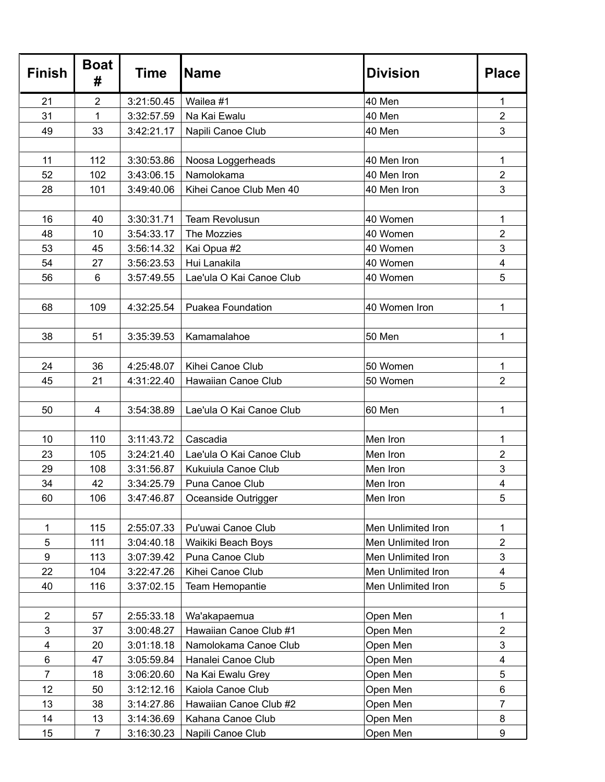| <b>Finish</b>  | <b>Boat</b><br># | Time       | <b>Name</b>              | <b>Division</b>    | <b>Place</b>            |
|----------------|------------------|------------|--------------------------|--------------------|-------------------------|
| 21             | $\overline{2}$   | 3:21:50.45 | Wailea #1                | 40 Men             | 1                       |
| 31             | 1                | 3:32:57.59 | Na Kai Ewalu             | 40 Men             | $\overline{2}$          |
| 49             | 33               | 3:42:21.17 | Napili Canoe Club        | 40 Men             | 3                       |
|                |                  |            |                          |                    |                         |
| 11             | 112              | 3:30:53.86 | Noosa Loggerheads        | 40 Men Iron        | 1                       |
| 52             | 102              | 3:43:06.15 | Namolokama               | 40 Men Iron        | $\overline{2}$          |
| 28             | 101              | 3:49:40.06 | Kihei Canoe Club Men 40  | 40 Men Iron        | 3                       |
|                |                  |            |                          |                    |                         |
| 16             | 40               | 3:30:31.71 | <b>Team Revolusun</b>    | 40 Women           | 1                       |
| 48             | 10               | 3:54:33.17 | The Mozzies              | 40 Women           | $\overline{2}$          |
| 53             | 45               | 3:56:14.32 | Kai Opua #2              | 40 Women           | 3                       |
| 54             | 27               | 3:56:23.53 | Hui Lanakila             | 40 Women           | 4                       |
| 56             | 6                | 3:57:49.55 | Lae'ula O Kai Canoe Club | 40 Women           | 5                       |
| 68             | 109              | 4:32:25.54 | <b>Puakea Foundation</b> | 40 Women Iron      | 1                       |
| 38             | 51               | 3:35:39.53 | Kamamalahoe              | 50 Men             | 1                       |
| 24             | 36               | 4:25:48.07 | Kihei Canoe Club         | 50 Women           | 1                       |
| 45             | 21               | 4:31:22.40 | Hawaiian Canoe Club      | 50 Women           | $\overline{2}$          |
|                |                  |            |                          |                    |                         |
| 50             | $\overline{4}$   | 3:54:38.89 | Lae'ula O Kai Canoe Club | 60 Men             | 1                       |
|                |                  |            |                          |                    |                         |
| 10             | 110              | 3:11:43.72 | Cascadia                 | Men Iron           | 1                       |
| 23             | 105              | 3:24:21.40 | Lae'ula O Kai Canoe Club | Men Iron           | $\overline{2}$          |
| 29             | 108              | 3:31:56.87 | Kukuiula Canoe Club      | Men Iron           | 3                       |
| 34             | 42               | 3:34:25.79 | Puna Canoe Club          | Men Iron           | 4                       |
| 60             | 106              | 3:47:46.87 | Oceanside Outrigger      | Men Iron           | 5                       |
|                |                  |            |                          |                    |                         |
| 1              | 115              | 2:55:07.33 | Pu'uwai Canoe Club       | Men Unlimited Iron | 1                       |
| 5              | 111              | 3:04:40.18 | Waikiki Beach Boys       | Men Unlimited Iron | $\overline{2}$          |
| 9              | 113              | 3:07:39.42 | Puna Canoe Club          | Men Unlimited Iron | 3                       |
| 22             | 104              | 3:22:47.26 | Kihei Canoe Club         | Men Unlimited Iron | $\overline{\mathbf{4}}$ |
| 40             | 116              | 3:37:02.15 | Team Hemopantie          | Men Unlimited Iron | 5                       |
| $\overline{c}$ | 57               | 2:55:33.18 | Wa'akapaemua             | Open Men           | 1                       |
| 3              | 37               | 3:00:48.27 | Hawaiian Canoe Club #1   | Open Men           | $\overline{2}$          |
| 4              | 20               | 3:01:18.18 | Namolokama Canoe Club    | Open Men           | 3                       |
| 6              | 47               | 3:05:59.84 | Hanalei Canoe Club       | Open Men           | $\overline{\mathbf{4}}$ |
| $\overline{7}$ | 18               | 3:06:20.60 | Na Kai Ewalu Grey        | Open Men           | 5                       |
| 12             | 50               | 3:12:12.16 | Kaiola Canoe Club        | Open Men           | 6                       |
| 13             | 38               | 3:14:27.86 | Hawaiian Canoe Club #2   | Open Men           | 7                       |
| 14             | 13               | 3:14:36.69 | Kahana Canoe Club        | Open Men           | 8                       |
| 15             | $\overline{7}$   | 3:16:30.23 | Napili Canoe Club        | Open Men           | 9                       |